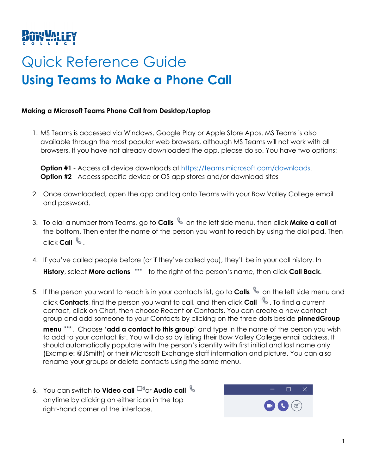# Quick Reference Guide **Using Teams to Make a Phone Call**

# **Making a Microsoft Teams Phone Call from Desktop/Laptop**

1. MS Teams is accessed via Windows, Google Play or Apple Store Apps. MS Teams is also available through the most popular web browsers, although MS Teams will not work with all browsers. If you have not already downloaded the app, please do so. You have two options:

Option #1 - Access all device downloads at [https://teams.microsoft.com/downloads.](https://teams.microsoft.com/downloads) **Option #2** - Access specific device or OS app stores and/or download sites

- 2. Once downloaded, open the app and log onto Teams with your Bow Valley College email and password.
- 3. To dial a number from Teams, go to **Calls** so the left side menu, then click **Make a call** at the bottom. Then enter the name of the person you want to reach by using the dial pad. Then click **Call** .
- 4. If you've called people before (or if they've called you), they'll be in your call history. In **History**, select **More actions** \*\*\* to the right of the person's name, then click **Call Back**.
- 5. If the pers[on](https://ca-prod.asyncgw.teams.microsoft.com/v1/objects/0-cca-d1-b58d5a80840918bf2bcde9414d23ce66/views/imgo) you want to reach is in your contacts list, go to **Calls** & on the left side menu and click **Contacts**, find the person you want to call, and then click **Call** . To find a current contact, click on Chat, then choose Recent or Contacts. You can create a new contact group and add someone to your Contacts by clicking on the three dots beside **pinnedGroup**

**menu** [.](https://ca-prod.asyncgw.teams.microsoft.com/v1/objects/0-cca-d1-7102eb0f23a983ea3c8d7b8c52d7bbf0/views/imgo).. Choose '**add a contact to this group**' and type in the name of the person you wish to add to your contact list. You will do so by listing their Bow Valley College email address. It should automatically populate with the person's identity with first initial and last name only (Example: @JSmith) or their Microsoft Exchange staff information and picture. You can also rename your groups or delete contacts using the same menu.

6. You can switch to **Video call**  $\Box$ <sup>0</sup> or **Audio call**  $\Diamond$ anytime by clicking on either icon in the top right-hand corner of the interface.